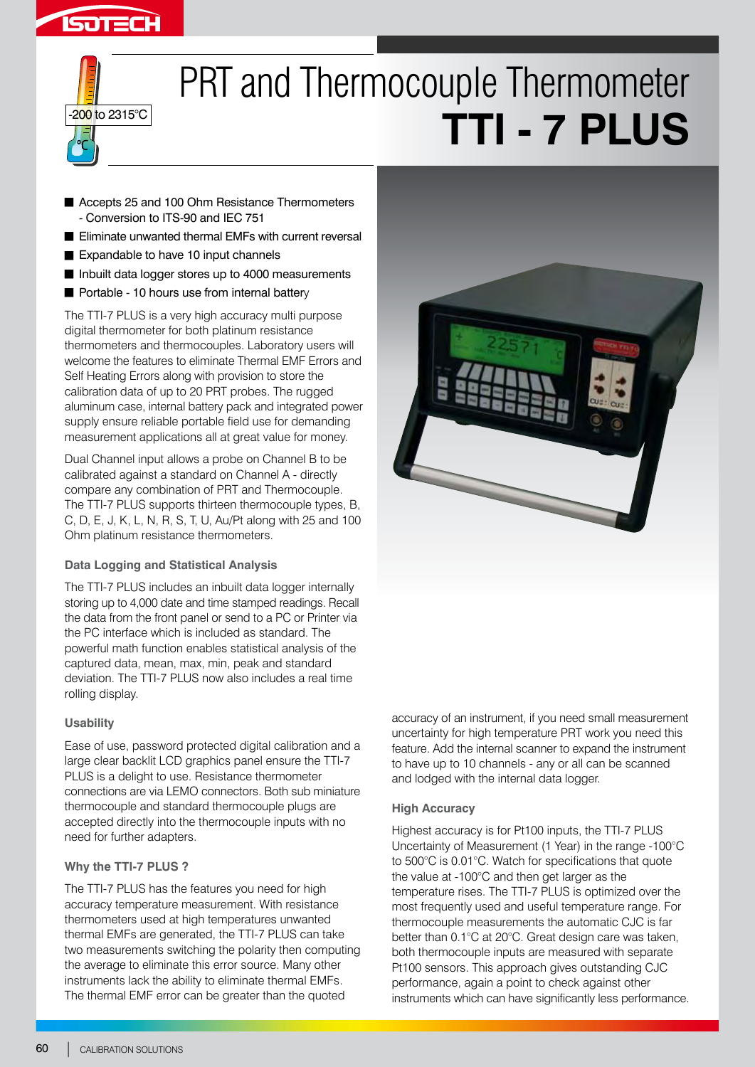

# PRT and Thermocouple Thermometer **TTI - 7 PLUS**

- Accepts 25 and 100 Ohm Resistance Thermometers - Conversion to ITS-90 and IEC 751
- **E** Eliminate unwanted thermal EMFs with current reversal
- Expandable to have 10 input channels
- **Inbuilt data logger stores up to 4000 measurements**
- Portable 10 hours use from internal battery

The TTI-7 PLUS is a very high accuracy multi purpose digital thermometer for both platinum resistance thermometers and thermocouples. Laboratory users will welcome the features to eliminate Thermal EMF Errors and Self Heating Errors along with provision to store the calibration data of up to 20 PRT probes. The rugged aluminum case, internal battery pack and integrated power supply ensure reliable portable field use for demanding measurement applications all at great value for money.

Dual Channel input allows a probe on Channel B to be calibrated against a standard on Channel A - directly compare any combination of PRT and Thermocouple. The TTI-7 PLUS supports thirteen thermocouple types, B, C, D, E, J, K, L, N, R, S, T, U, Au/Pt along with 25 and 100 Ohm platinum resistance thermometers.

## **Data Logging and Statistical Analysis**

The TTI-7 PLUS includes an inbuilt data logger internally storing up to 4,000 date and time stamped readings. Recall the data from the front panel or send to a PC or Printer via the PC interface which is included as standard. The powerful math function enables statistical analysis of the captured data, mean, max, min, peak and standard deviation. The TTI-7 PLUS now also includes a real time rolling display.

### **Usability**

Ease of use, password protected digital calibration and a large clear backlit LCD graphics panel ensure the TTI-7 PLUS is a delight to use. Resistance thermometer connections are via LEMO connectors. Both sub miniature thermocouple and standard thermocouple plugs are accepted directly into the thermocouple inputs with no need for further adapters.

### **Why the TTI-7 PLUS ?**

The TTI-7 PLUS has the features you need for high accuracy temperature measurement. With resistance thermometers used at high temperatures unwanted thermal EMFs are generated, the TTI-7 PLUS can take two measurements switching the polarity then computing the average to eliminate this error source. Many other instruments lack the ability to eliminate thermal EMFs. The thermal EMF error can be greater than the quoted



accuracy of an instrument, if you need small measurement uncertainty for high temperature PRT work you need this feature. Add the internal scanner to expand the instrument to have up to 10 channels - any or all can be scanned and lodged with the internal data logger.

### **High Accuracy**

Highest accuracy is for Pt100 inputs, the TTI-7 PLUS Uncertainty of Measurement (1 Year) in the range -100°C to 500°C is 0.01°C. Watch for specifications that quote the value at -100°C and then get larger as the temperature rises. The TTI-7 PLUS is optimized over the most frequently used and useful temperature range. For thermocouple measurements the automatic CJC is far better than 0.1°C at 20°C. Great design care was taken, both thermocouple inputs are measured with separate Pt100 sensors. This approach gives outstanding CJC performance, again a point to check against other instruments which can have significantly less performance.